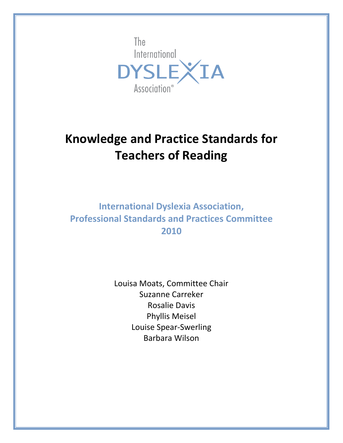

# **Knowledge and Practice Standards for Teachers of Reading**

## **International Dyslexia Association, Professional Standards and Practices Committee 2010**

Louisa Moats, Committee Chair Suzanne Carreker Rosalie Davis Phyllis Meisel Louise Spear-Swerling Barbara Wilson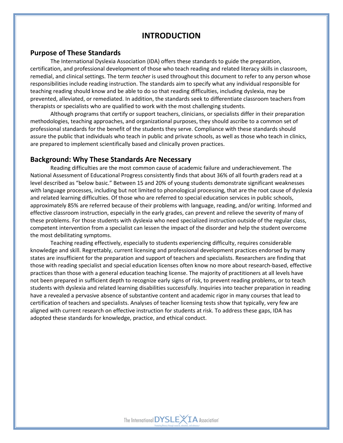## **INTRODUCTION**

#### **Purpose of These Standards**

The International Dyslexia Association (IDA) offers these standards to guide the preparation, certification, and professional development of those who teach reading and related literacy skills in classroom, remedial, and clinical settings. The term *teacher* is used throughout this document to refer to any person whose responsibilities include reading instruction. The standards aim to specify what any individual responsible for teaching reading should know and be able to do so that reading difficulties, including dyslexia, may be prevented, alleviated, or remediated. In addition, the standards seek to differentiate classroom teachers from therapists or specialists who are qualified to work with the most challenging students.

Although programs that certify or support teachers, clinicians, or specialists differ in their preparation methodologies, teaching approaches, and organizational purposes, they should ascribe to a common set of professional standards for the benefit of the students they serve. Compliance with these standards should assure the public that individuals who teach in public and private schools, as well as those who teach in clinics, are prepared to implement scientifically based and clinically proven practices.

#### **Background: Why These Standards Are Necessary**

Reading difficulties are the most common cause of academic failure and underachievement. The National Assessment of Educational Progress consistently finds that about 36% of all fourth graders read at a level described as "below basic." Between 15 and 20% of young students demonstrate significant weaknesses with language processes, including but not limited to phonological processing, that are the root cause of dyslexia and related learning difficulties. Of those who are referred to special education services in public schools, approximately 85% are referred because of their problems with language, reading, and/or writing. Informed and effective classroom instruction, especially in the early grades, can prevent and relieve the severity of many of these problems. For those students with dyslexia who need specialized instruction outside of the regular class, competent intervention from a specialist can lessen the impact of the disorder and help the student overcome the most debilitating symptoms.

Teaching reading effectively, especially to students experiencing difficulty, requires considerable knowledge and skill. Regrettably, current licensing and professional development practices endorsed by many states are insufficient for the preparation and support of teachers and specialists. Researchers are finding that those with reading specialist and special education licenses often know no more about research-based, effective practices than those with a general education teaching license. The majority of practitioners at all levels have not been prepared in sufficient depth to recognize early signs of risk, to prevent reading problems, or to teach students with dyslexia and related learning disabilities successfully. Inquiries into teacher preparation in reading have a revealed a pervasive absence of substantive content and academic rigor in many courses that lead to certification of teachers and specialists. Analyses of teacher licensing tests show that typically, very few are aligned with current research on effective instruction for students at risk. To address these gaps, IDA has adopted these standards for knowledge, practice, and ethical conduct.

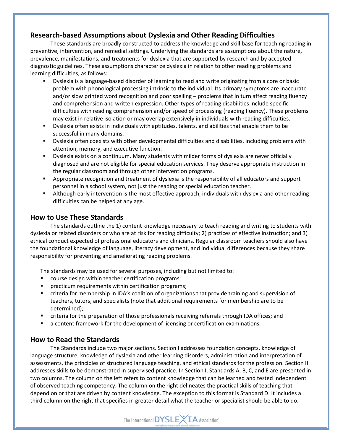### **Research-based Assumptions about Dyslexia and Other Reading Difficulties**

These standards are broadly constructed to address the knowledge and skill base for teaching reading in preventive, intervention, and remedial settings. Underlying the standards are assumptions about the nature, prevalence, manifestations, and treatments for dyslexia that are supported by research and by accepted diagnostic guidelines. These assumptions characterize dyslexia in relation to other reading problems and learning difficulties, as follows:

- Dyslexia is a language-based disorder of learning to read and write originating from a core or basic problem with phonological processing intrinsic to the individual. Its primary symptoms are inaccurate and/or slow printed word recognition and poor spelling – problems that in turn affect reading fluency and comprehension and written expression. Other types of reading disabilities include specific difficulties with reading comprehension and/or speed of processing (reading fluency). These problems may exist in relative isolation or may overlap extensively in individuals with reading difficulties.
- Dyslexia often exists in individuals with aptitudes, talents, and abilities that enable them to be successful in many domains.
- Dyslexia often coexists with other developmental difficulties and disabilities, including problems with attention, memory, and executive function.
- Dyslexia exists on a continuum. Many students with milder forms of dyslexia are never officially diagnosed and are not eligible for special education services. They deserve appropriate instruction in the regular classroom and through other intervention programs.
- Appropriate recognition and treatment of dyslexia is the responsibility of all educators and support personnel in a school system, not just the reading or special education teacher.
- Although early intervention is the most effective approach, individuals with dyslexia and other reading difficulties can be helped at any age.

### **How to Use These Standards**

The standards outline the 1) content knowledge necessary to teach reading and writing to students with dyslexia or related disorders or who are at risk for reading difficulty; 2) practices of effective instruction; and 3) ethical conduct expected of professional educators and clinicians. Regular classroom teachers should also have the foundational knowledge of language, literacy development, and individual differences because they share responsibility for preventing and ameliorating reading problems.

The standards may be used for several purposes, including but not limited to:

- course design within teacher certification programs;
- practicum requirements within certification programs;
- criteria for membership in IDA's coalition of organizations that provide training and supervision of teachers, tutors, and specialists (note that additional requirements for membership are to be determined);
- criteria for the preparation of those professionals receiving referrals through IDA offices; and
- a content framework for the development of licensing or certification examinations.

#### **How to Read the Standards**

The Standards include two major sections. Section I addresses foundation concepts, knowledge of language structure, knowledge of dyslexia and other learning disorders, administration and interpretation of assessments, the principles of structured language teaching, and ethical standards for the profession. Section II addresses skills to be demonstrated in supervised practice. In Section I, Standards A, B, C, and E are presented in two columns. The column on the left refers to content knowledge that can be learned and tested independent of observed teaching competency. The column on the right delineates the practical skills of teaching that depend on or that are driven by content knowledge. The exception to this format is Standard D. It includes a third column on the right that specifies in greater detail what the teacher or specialist should be able to do.

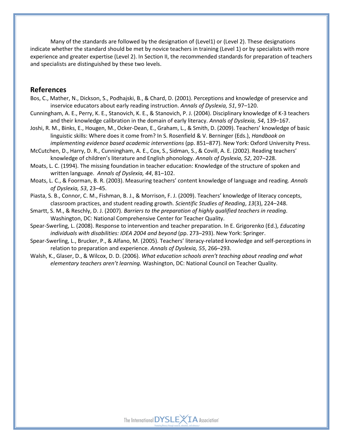Many of the standards are followed by the designation of (Level1) or (Level 2). These designations indicate whether the standard should be met by novice teachers in training (Level 1) or by specialists with more experience and greater expertise (Level 2). In Section II, the recommended standards for preparation of teachers and specialists are distinguished by these two levels.

#### **References**

- Bos, C., Mather, N., Dickson, S., Podhajski, B., & Chard, D. (2001). Perceptions and knowledge of preservice and inservice educators about early reading instruction. *Annals of Dyslexia, 51*, 97–120.
- Cunningham, A. E., Perry, K. E., Stanovich, K. E., & Stanovich, P. J. (2004). Disciplinary knowledge of K-3 teachers and their knowledge calibration in the domain of early literacy. *Annals of Dyslexia, 54*, 139–167.
- Joshi, R. M., Binks, E., Hougen, M., Ocker-Dean, E., Graham, L., & Smith, D. (2009). Teachers' knowledge of basic linguistic skills: Where does it come from? In S. Rosenfield & V. Berninger (Eds.), *Handbook on implementing evidence based academic interventions* (pp. 851–877). New York: Oxford University Press.
- McCutchen, D., Harry, D. R., Cunningham, A. E., Cox, S., Sidman, S., & Covill, A. E. (2002). Reading teachers' knowledge of children's literature and English phonology. *Annals of Dyslexia, 52*, 207–228.
- Moats, L. C. (1994). The missing foundation in teacher education: Knowledge of the structure of spoken and written language. *Annals of Dyslexia, 44*, 81–102.
- Moats, L. C., & Foorman, B. R. (2003). Measuring teachers' content knowledge of language and reading. *Annals of Dyslexia, 53*, 23–45.
- Piasta, S. B., Connor, C. M., Fishman, B. J., & Morrison, F. J. (2009). Teachers' knowledge of literacy concepts, classroom practices, and student reading growth*. Scientific Studies of Reading*, *13*(3), 224–248.
- Smartt, S. M., & Reschly, D. J. (2007). *Barriers to the preparation of highly qualified teachers in reading*. Washington, DC: National Comprehensive Center for Teacher Quality.
- Spear-Swerling, L. (2008). Response to intervention and teacher preparation. In E. Grigorenko (Ed.), *Educating individuals with disabilities: IDEA 2004 and beyond* (pp. 273–293). New York: Springer.
- Spear-Swerling, L., Brucker, P., & Alfano, M. (2005). Teachers' literacy-related knowledge and self-perceptions in relation to preparation and experience. *Annals of Dyslexia, 55*, 266–293.
- Walsh, K., Glaser, D., & Wilcox, D. D. (2006). *What education schools aren't teaching about reading and what elementary teachers aren't learning.* Washington, DC: National Council on Teacher Quality.

The International DYSLEXIA Association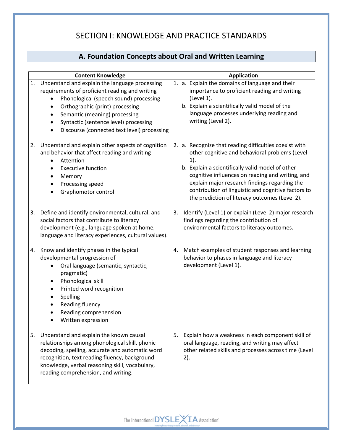## SECTION I: KNOWLEDGE AND PRACTICE STANDARDS

## **A. Foundation Concepts about Oral and Written Learning**

|    | <b>Content Knowledge</b>                                                                                                                                                                                                                                                                                                                              | <b>Application</b> |                                                                                                                                                                                                                                                                                                                                                                                      |  |  |  |
|----|-------------------------------------------------------------------------------------------------------------------------------------------------------------------------------------------------------------------------------------------------------------------------------------------------------------------------------------------------------|--------------------|--------------------------------------------------------------------------------------------------------------------------------------------------------------------------------------------------------------------------------------------------------------------------------------------------------------------------------------------------------------------------------------|--|--|--|
|    | 1. Understand and explain the language processing<br>requirements of proficient reading and writing<br>Phonological (speech sound) processing<br>Orthographic (print) processing<br>$\bullet$<br>Semantic (meaning) processing<br>٠<br>Syntactic (sentence level) processing<br>$\bullet$<br>Discourse (connected text level) processing<br>$\bullet$ |                    | 1. a. Explain the domains of language and their<br>importance to proficient reading and writing<br>(Level 1).<br>b. Explain a scientifically valid model of the<br>language processes underlying reading and<br>writing (Level 2).                                                                                                                                                   |  |  |  |
| 2. | Understand and explain other aspects of cognition<br>and behavior that affect reading and writing<br>Attention<br>$\bullet$<br><b>Executive function</b><br>$\bullet$<br>Memory<br>٠<br>Processing speed<br>$\bullet$<br>Graphomotor control<br>$\bullet$                                                                                             |                    | 2. a. Recognize that reading difficulties coexist with<br>other cognitive and behavioral problems (Level<br>$1$ ).<br>b. Explain a scientifically valid model of other<br>cognitive influences on reading and writing, and<br>explain major research findings regarding the<br>contribution of linguistic and cognitive factors to<br>the prediction of literacy outcomes (Level 2). |  |  |  |
| 3. | Define and identify environmental, cultural, and<br>social factors that contribute to literacy<br>development (e.g., language spoken at home,<br>language and literacy experiences, cultural values).                                                                                                                                                 | 3.                 | Identify (Level 1) or explain (Level 2) major research<br>findings regarding the contribution of<br>environmental factors to literacy outcomes.                                                                                                                                                                                                                                      |  |  |  |
| 4. | Know and identify phases in the typical<br>developmental progression of<br>Oral language (semantic, syntactic,<br>$\bullet$<br>pragmatic)<br>Phonological skill<br>$\bullet$<br>Printed word recognition<br>$\bullet$<br>Spelling<br>Reading fluency<br>$\bullet$<br>Reading comprehension<br>Written expression                                      | 4.                 | Match examples of student responses and learning<br>behavior to phases in language and literacy<br>development (Level 1).                                                                                                                                                                                                                                                            |  |  |  |
|    | 5. Understand and explain the known causal<br>relationships among phonological skill, phonic<br>decoding, spelling, accurate and automatic word<br>recognition, text reading fluency, background<br>knowledge, verbal reasoning skill, vocabulary,<br>reading comprehension, and writing.                                                             | 5.                 | Explain how a weakness in each component skill of<br>oral language, reading, and writing may affect<br>other related skills and processes across time (Level<br>$2$ ).                                                                                                                                                                                                               |  |  |  |

The International  $\underset{\scriptscriptstyle{\text{branched, structure, reference, of others}}}{\text{DYSL}} \sum \underset{\scriptscriptstyle{\text{threshold, structure}}}{\text{M}} \sum \underset{\scriptscriptstyle{\text{threshold}}}{\text{A}}$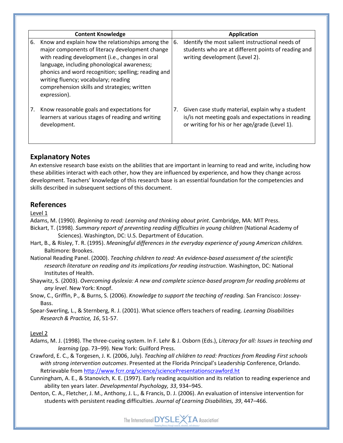|    | <b>Content Knowledge</b>                                                                                                                                                                                                                                                                                                                                             |    | <b>Application</b>                                                                                                                                        |
|----|----------------------------------------------------------------------------------------------------------------------------------------------------------------------------------------------------------------------------------------------------------------------------------------------------------------------------------------------------------------------|----|-----------------------------------------------------------------------------------------------------------------------------------------------------------|
| 6. | Know and explain how the relationships among the<br>major components of literacy development change<br>with reading development (i.e., changes in oral<br>language, including phonological awareness;<br>phonics and word recognition; spelling; reading and<br>writing fluency; vocabulary; reading<br>comprehension skills and strategies; written<br>expression). | 6. | Identify the most salient instructional needs of<br>students who are at different points of reading and<br>writing development (Level 2).                 |
| 7. | Know reasonable goals and expectations for<br>learners at various stages of reading and writing<br>development.                                                                                                                                                                                                                                                      | 7. | Given case study material, explain why a student<br>is/is not meeting goals and expectations in reading<br>or writing for his or her age/grade (Level 1). |

An extensive research base exists on the abilities that are important in learning to read and write, including how these abilities interact with each other, how they are influenced by experience, and how they change across development. Teachers' knowledge of this research base is an essential foundation for the competencies and skills described in subsequent sections of this document.

#### **References**

#### Level 1

Adams, M. (1990). *Beginning to read: Learning and thinking about print*. Cambridge, MA: MIT Press.

- Bickart, T. (1998). *Summary report of preventing reading difficulties in young children* (National Academy of Sciences). Washington, DC: U.S. Department of Education.
- Hart, B., & Risley, T. R. (1995). *Meaningful differences in the everyday experience of young American children.* Baltimore: Brookes.
- National Reading Panel. (2000). *Teaching children to read: An evidence-based assessment of the scientific research literature on reading and its implications for reading instruction*. Washington, DC: National Institutes of Health.
- Shaywitz, S. (2003). *Overcoming dyslexia: A new and complete science-based program for reading problems at any level*. New York: Knopf.
- Snow, C., Griffin, P., & Burns, S. (2006). *Knowledge to support the teaching of reading.* San Francisco: Jossey-Bass.

Spear-Swerling, L., & Sternberg, R. J. (2001). What science offers teachers of reading. *Learning Disabilities Research & Practice, 16*, 51-57.

#### Level 2

- Adams, M. J. (1998). The three-cueing system. In F. Lehr & J. Osborn (Eds.), *Literacy for all: Issues in teaching and learning* (pp. 73–99). New York: Guilford Press.
- Crawford, E. C., & Torgesen, J. K. (2006, July). *Teaching all children to read: Practices from Reading First schools with strong intervention outcomes*. Presented at the Florida Principal's Leadership Conference, Orlando. Retrievable fro[m http://www.fcrr.org/science/sciencePresentationscrawford.ht](http://www.fcrr.org/science/sciencePresentationscrawford.htm)
- Cunningham, A. E., & Stanovich, K. E. (1997). Early reading acquisition and its relation to reading experience and ability ten years later. *Developmental Psychology, 33*, 934–945.
- Denton, C. A., Fletcher, J. M., Anthony, J. L., & Francis, D. J. (2006). An evaluation of intensive intervention for students with persistent reading difficulties. *Journal of Learning Disabilities, 39*, 447–466.

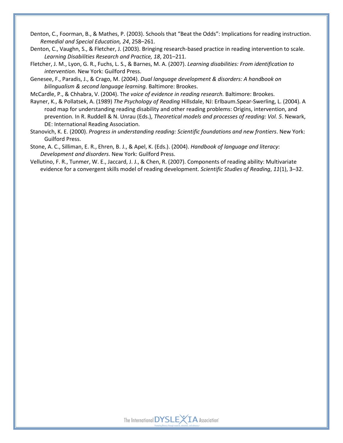- Denton, C., Foorman, B., & Mathes, P. (2003). Schools that "Beat the Odds": Implications for reading instruction. *Remedial and Special Education, 24*, 258–261.
- Denton, C., Vaughn, S., & Fletcher, J. (2003). Bringing research-based practice in reading intervention to scale. *Learning Disabilities Research and Practice, 18*, 201–211.
- Fletcher, J. M., Lyon, G. R., Fuchs, L. S., & Barnes, M. A. (2007). *Learning disabilities: From identification to intervention*. New York: Guilford Press.
- Genesee, F., Paradis, J., & Crago, M. (2004). *Dual language development & disorders: A handbook on bilingualism & second language learning.* Baltimore: Brookes.
- McCardle, P., & Chhabra, V. (2004). Th*e voice of evidence in reading research.* Baltimore: Brookes.
- Rayner, K., & Pollatsek, A. (1989) *The Psychology of Reading* Hillsdale, NJ: Erlbaum.Spear-Swerling, L. (2004). A road map for understanding reading disability and other reading problems: Origins, intervention, and prevention. In R. Ruddell & N. Unrau (Eds.), *Theoretical models and processes of reading: Vol. 5*. Newark, DE: International Reading Association.
- Stanovich, K. E. (2000). *Progress in understanding reading: Scientific foundations and new frontiers*. New York: Guilford Press.
- Stone, A. C., Silliman, E. R., Ehren, B. J., & Apel, K. (Eds.). (2004). *Handbook of language and literacy*: *Development and disorders*. New York: Guilford Press.
- Vellutino, F. R., Tunmer, W. E., Jaccard, J. J., & Chen, R. (2007). Components of reading ability: Multivariate evidence for a convergent skills model of reading development. *Scientific Studies of Reading*, *11*(1), 3–32.

The International DYSLEXIA Association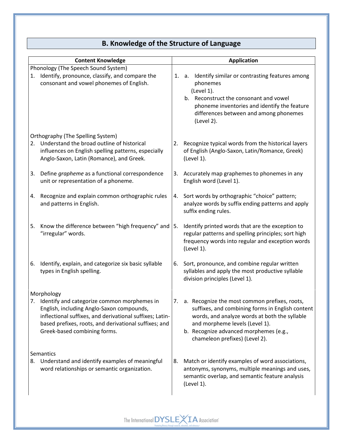## **B. Knowledge of the Structure of Language**

|                                     | <b>Content Knowledge</b>                                                                                                                                                                                                                                       |    | <b>Application</b>                                                                                                                                                                                                                                               |
|-------------------------------------|----------------------------------------------------------------------------------------------------------------------------------------------------------------------------------------------------------------------------------------------------------------|----|------------------------------------------------------------------------------------------------------------------------------------------------------------------------------------------------------------------------------------------------------------------|
| Phonology (The Speech Sound System) |                                                                                                                                                                                                                                                                |    |                                                                                                                                                                                                                                                                  |
| 1.                                  | Identify, pronounce, classify, and compare the<br>consonant and vowel phonemes of English.                                                                                                                                                                     | 1. | a. Identify similar or contrasting features among<br>phonemes<br>(Level 1).<br>b. Reconstruct the consonant and vowel<br>phoneme inventories and identify the feature<br>differences between and among phonemes<br>(Level 2).                                    |
|                                     | Orthography (The Spelling System)                                                                                                                                                                                                                              |    |                                                                                                                                                                                                                                                                  |
|                                     | 2. Understand the broad outline of historical<br>influences on English spelling patterns, especially<br>Anglo-Saxon, Latin (Romance), and Greek.                                                                                                               | 2. | Recognize typical words from the historical layers<br>of English (Anglo-Saxon, Latin/Romance, Greek)<br>(Level 1).                                                                                                                                               |
| 3.                                  | Define grapheme as a functional correspondence<br>unit or representation of a phoneme.                                                                                                                                                                         | 3. | Accurately map graphemes to phonemes in any<br>English word (Level 1).                                                                                                                                                                                           |
| 4.                                  | Recognize and explain common orthographic rules<br>and patterns in English.                                                                                                                                                                                    | 4. | Sort words by orthographic "choice" pattern;<br>analyze words by suffix ending patterns and apply<br>suffix ending rules.                                                                                                                                        |
| 5.                                  | Know the difference between "high frequency" and   5.<br>"irregular" words.                                                                                                                                                                                    |    | Identify printed words that are the exception to<br>regular patterns and spelling principles; sort high<br>frequency words into regular and exception words<br>(Level 1).                                                                                        |
| 6.                                  | Identify, explain, and categorize six basic syllable<br>types in English spelling.                                                                                                                                                                             | 6. | Sort, pronounce, and combine regular written<br>syllables and apply the most productive syllable<br>division principles (Level 1).                                                                                                                               |
|                                     | Morphology<br>7. Identify and categorize common morphemes in<br>English, including Anglo-Saxon compounds,<br>inflectional suffixes, and derivational suffixes; Latin-<br>based prefixes, roots, and derivational suffixes; and<br>Greek-based combining forms. | 7. | a. Recognize the most common prefixes, roots,<br>suffixes, and combining forms in English content<br>words, and analyze words at both the syllable<br>and morpheme levels (Level 1).<br>b. Recognize advanced morphemes (e.g.,<br>chameleon prefixes) (Level 2). |
|                                     |                                                                                                                                                                                                                                                                |    |                                                                                                                                                                                                                                                                  |
|                                     | Semantics                                                                                                                                                                                                                                                      |    |                                                                                                                                                                                                                                                                  |
|                                     | 8. Understand and identify examples of meaningful<br>word relationships or semantic organization.                                                                                                                                                              | 8. | Match or identify examples of word associations,<br>antonyms, synonyms, multiple meanings and uses,<br>semantic overlap, and semantic feature analysis<br>(Level 1).                                                                                             |
|                                     |                                                                                                                                                                                                                                                                |    |                                                                                                                                                                                                                                                                  |

The International  $\mathbf{DYSLE}$   $\hat{\times}$   $\mathbf{IA}$  Association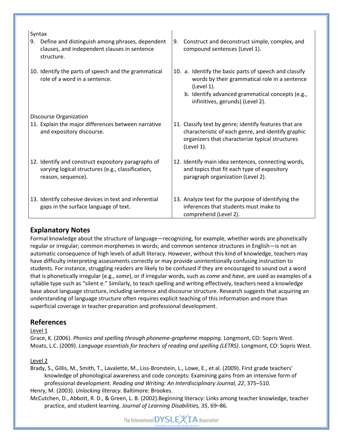| Syntax<br>Define and distinguish among phrases, dependent<br>9.<br>clauses, and independent clauses in sentence<br>structure.  | Construct and deconstruct simple, complex, and<br>9.<br>compound sentences (Level 1).                                                                                                                         |
|--------------------------------------------------------------------------------------------------------------------------------|---------------------------------------------------------------------------------------------------------------------------------------------------------------------------------------------------------------|
| 10. Identify the parts of speech and the grammatical<br>role of a word in a sentence.                                          | 10. a. Identify the basic parts of speech and classify<br>words by their grammatical role in a sentence<br>(Level 1).<br>b. Identify advanced grammatical concepts (e.g.,<br>infinitives, gerunds) (Level 2). |
| Discourse Organization                                                                                                         |                                                                                                                                                                                                               |
| 11. Explain the major differences between narrative<br>and expository discourse.                                               | 11. Classify text by genre; identify features that are<br>characteristic of each genre, and identify graphic<br>organizers that characterize typical structures<br>(Level 1).                                 |
| 12. Identify and construct expository paragraphs of<br>varying logical structures (e.g., classification,<br>reason, sequence). | 12. Identify main idea sentences, connecting words,<br>and topics that fit each type of expository<br>paragraph organization (Level 2).                                                                       |
| 13. Identify cohesive devices in text and inferential<br>gaps in the surface language of text.                                 | 13. Analyze text for the purpose of identifying the<br>inferences that students must make to<br>comprehend (Level 2).                                                                                         |

Formal knowledge about the structure of language—recognizing, for example, whether words are phonetically regular or irregular; common morphemes in words; and common sentence structures in English—is not an automatic consequence of high levels of adult literacy. However, without this kind of knowledge, teachers may have difficulty interpreting assessments correctly or may provide unintentionally confusing instruction to students. For instance, struggling readers are likely to be confused if they are encouraged to sound out a word that is phonetically irregular (e.g., *some*), or if irregular words, such as *come* and *have*, are used as examples of a syllable type such as "silent e." Similarly, to teach spelling and writing effectively, teachers need a knowledge base about language structure, including sentence and discourse structure. Research suggests that acquiring an understanding of language structure often requires explicit teaching of this information and more than superficial coverage in teacher preparation and professional development.

## **References**

Level 1

Grace, K. (2006). *Phonics and spelling through phoneme-grapheme mapping*. Longmont, CO: Sopris West. Moats, L.C. (2009). *Language essentials for teachers of reading and spelling (LETRS)*. Longmont, CO: Sopris West.

#### Level 2

Brady, S., Gillis, M., Smith, T., Lavalette, M., Liss-Bronstein, L., Lowe, E., et al. (2009). First grade teachers' knowledge of phonological awareness and code concepts: Examining gains from an intensive form of professional development. *Reading and Writing: An Interdisciplinary Journal, 22*, 375–510. Henry, M. (2003). *Unlocking literacy*. Baltimore: Brookes.

McCutchen, D., Abbott, R. D., & Green, L. B. (2002).Beginning literacy: Links among teacher knowledge, teacher practice, and student learning. *Journal of Learning Disabilities, 35*, 69–86.

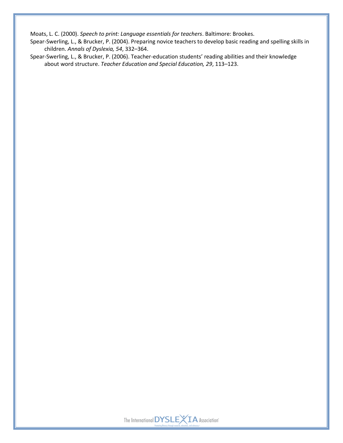Moats, L. C. (2000). *Speech to print: Language essentials for teachers*. Baltimore: Brookes.

- Spear-Swerling, L., & Brucker, P. (2004). Preparing novice teachers to develop basic reading and spelling skills in children. *Annals of Dyslexia, 54*, 332–364.
- Spear-Swerling, L., & Brucker, P. (2006). Teacher-education students' reading abilities and their knowledge about word structure. *Teacher Education and Special Education, 29*, 113–123.

The International DYSLEXIA Association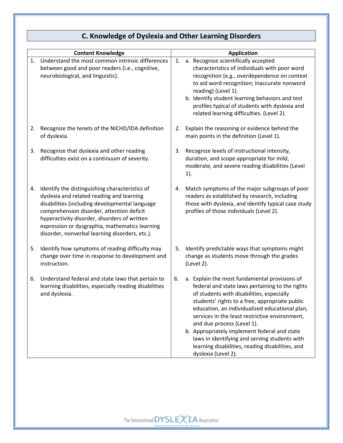|    | <b>Content Knowledge</b>                                                                                                                                                                                                                                                                                                                       |    | <b>Application</b>                                                                                                                                                                                                                                                                                                                                                                                                                                                                                            |
|----|------------------------------------------------------------------------------------------------------------------------------------------------------------------------------------------------------------------------------------------------------------------------------------------------------------------------------------------------|----|---------------------------------------------------------------------------------------------------------------------------------------------------------------------------------------------------------------------------------------------------------------------------------------------------------------------------------------------------------------------------------------------------------------------------------------------------------------------------------------------------------------|
| 1. | Understand the most common intrinsic differences<br>between good and poor readers (i.e., cognitive,<br>neurobiological, and linguistic).                                                                                                                                                                                                       |    | 1. a. Recognize scientifically accepted<br>characteristics of individuals with poor word<br>recognition (e.g., overdependence on context<br>to aid word recognition; inaccurate nonword<br>reading) (Level 1).<br>b. Identify student learning behaviors and test<br>profiles typical of students with dyslexia and<br>related learning difficulties. (Level 2).                                                                                                                                              |
| 2. | Recognize the tenets of the NICHD/IDA definition<br>of dyslexia.                                                                                                                                                                                                                                                                               | 2. | Explain the reasoning or evidence behind the<br>main points in the definition (Level 1).                                                                                                                                                                                                                                                                                                                                                                                                                      |
| 3. | Recognize that dyslexia and other reading<br>difficulties exist on a continuum of severity.                                                                                                                                                                                                                                                    | 3. | Recognize levels of instructional intensity,<br>duration, and scope appropriate for mild,<br>moderate, and severe reading disabilities (Level<br>$1$ ).                                                                                                                                                                                                                                                                                                                                                       |
| 4. | Identify the distinguishing characteristics of<br>dyslexia and related reading and learning<br>disabilities (including developmental language<br>comprehension disorder, attention deficit<br>hyperactivity disorder, disorders of written<br>expression or dysgraphia, mathematics learning<br>disorder, nonverbal learning disorders, etc.). | 4. | Match symptoms of the major subgroups of poor<br>readers as established by research, including<br>those with dyslexia, and identify typical case study<br>profiles of those individuals (Level 2).                                                                                                                                                                                                                                                                                                            |
| 5. | Identify how symptoms of reading difficulty may<br>change over time in response to development and<br>instruction.                                                                                                                                                                                                                             | 5. | Identify predictable ways that symptoms might<br>change as students move through the grades<br>(Level 2).                                                                                                                                                                                                                                                                                                                                                                                                     |
| 6. | Understand federal and state laws that pertain to<br>learning disabilities, especially reading disabilities<br>and dyslexia.                                                                                                                                                                                                                   | 6. | a. Explain the most fundamental provisions of<br>federal and state laws pertaining to the rights<br>of students with disabilities, especially<br>students' rights to a free, appropriate public<br>education, an individualized educational plan,<br>services in the least restrictive environment,<br>and due process (Level 1).<br>b. Appropriately implement federal and state<br>laws in identifying and serving students with<br>learning disabilities, reading disabilities, and<br>dyslexia (Level 2). |

## **C. Knowledge of Dyslexia and Other Learning Disorders**

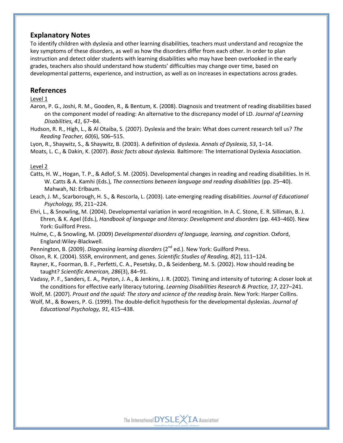To identify children with dyslexia and other learning disabilities, teachers must understand and recognize the key symptoms of these disorders, as well as how the disorders differ from each other. In order to plan instruction and detect older students with learning disabilities who may have been overlooked in the early grades, teachers also should understand how students' difficulties may change over time, based on developmental patterns, experience, and instruction, as well as on increases in expectations across grades.

#### **References**

#### Level 1

Aaron, P. G., Joshi, R. M., Gooden, R., & Bentum, K. (2008). Diagnosis and treatment of reading disabilities based on the component model of reading: An alternative to the discrepancy model of LD. *Journal of Learning Disabilities, 41*, 67–84.

Hudson, R. R., High, L., & Al Otaiba, S. (2007). Dyslexia and the brain: What does current research tell us? *The Reading Teacher, 60*(6), 506–515.

Lyon, R., Shaywitz, S., & Shaywitz, B. (2003). A definition of dyslexia. *Annals of Dyslexia, 53*, 1–14.

Moats, L. C., & Dakin, K. (2007). *Basic facts about dyslexia.* Baltimore: The International Dyslexia Association.

#### Level 2

- Catts, H. W., Hogan, T. P., & Adlof, S. M. (2005). Developmental changes in reading and reading disabilities. In H. W. Catts & A. Kamhi (Eds.), *The connections between language and reading disabilities* (pp. 25–40). Mahwah, NJ: Erlbaum.
- Leach, J. M., Scarborough, H. S., & Rescorla, L. (2003). Late-emerging reading disabilities. *Journal of Educational Psychology, 95*, 211–224.

Ehri, L., & Snowling, M. (2004). Developmental variation in word recognition. In A. C. Stone, E. R. Silliman, B. J. Ehren, & K. Apel (Eds.), *Handbook of language and literacy: Development and disorders* (pp. 443–460). New York: Guilford Press.

Hulme, C., & Snowling, M. (2009) *Developmental disorders of language, learning, and cognition*. Oxford, England:Wiley-Blackwell.

Pennington, B. (2009). *Diagnosing learning disorders* (2<sup>nd</sup> ed.). New York: Guilford Press.

Olson, R. K. (2004). SSSR, environment, and genes. *Scientific Studies of Reading, 8*(2), 111–124.

Rayner, K., Foorman, B. F., Perfetti, C. A., Pesetsky, D., & Seidenberg, M. S. (2002). How should reading be taught? *Scientific American, 286*(3), 84–91.

Vadasy, P. F., Sanders, E. A., Peyton, J. A., & Jenkins, J. R. (2002). Timing and intensity of tutoring: A closer look at the conditions for effective early literacy tutoring. *Learning Disabilities Research & Practice, 17*, 227–241.

Wolf, M. (2007). *Proust and the squid: The story and science of the reading brain*. New York: Harper Collins.

Wolf, M., & Bowers, P. G. (1999). The double-deficit hypothesis for the developmental dyslexias. *Journal of Educational Psychology, 91*, 415–438.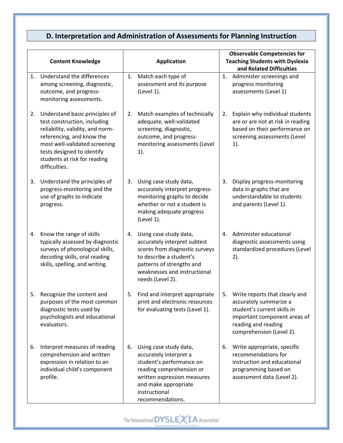## **D. Interpretation and Administration of Assessments for Planning Instruction**

|    | <b>Content Knowledge</b>                                                                                                                                                                                                                        |    | <b>Application</b>                                                                                                                                                                                   |    | <b>Observable Competencies for</b><br><b>Teaching Students with Dyslexia</b><br>and Related Difficulties                                                                   |
|----|-------------------------------------------------------------------------------------------------------------------------------------------------------------------------------------------------------------------------------------------------|----|------------------------------------------------------------------------------------------------------------------------------------------------------------------------------------------------------|----|----------------------------------------------------------------------------------------------------------------------------------------------------------------------------|
| 1. | Understand the differences<br>among screening, diagnostic,<br>outcome, and progress-<br>monitoring assessments.                                                                                                                                 | 1. | Match each type of<br>assessment and its purpose<br>(Level 1).                                                                                                                                       |    | 1. Administer screenings and<br>progress monitoring<br>assessments (Level 1)                                                                                               |
| 2. | Understand basic principles of<br>test construction, including<br>reliability, validity, and norm-<br>referencing, and know the<br>most well-validated screening<br>tests designed to identify<br>students at risk for reading<br>difficulties. | 2. | Match examples of technically<br>adequate, well-validated<br>screening, diagnostic,<br>outcome, and progress-<br>monitoring assessments (Level<br>$1$ ).                                             | 2. | Explain why individual students<br>are or are not at risk in reading<br>based on their performance on<br>screening assessments (Level<br>$1$ ).                            |
| 3. | Understand the principles of<br>progress-monitoring and the<br>use of graphs to indicate<br>progress.                                                                                                                                           | 3. | Using case study data,<br>accurately interpret progress-<br>monitoring graphs to decide<br>whether or not a student is<br>making adequate progress<br>(Level 1).                                     | 3. | Display progress-monitoring<br>data in graphs that are<br>understandable to students<br>and parents (Level 1).                                                             |
| 4. | Know the range of skills<br>typically assessed by diagnostic<br>surveys of phonological skills,<br>decoding skills, oral reading<br>skills, spelling, and writing.                                                                              | 4. | Using case study data,<br>accurately interpret subtest<br>scores from diagnostic surveys<br>to describe a student's<br>patterns of strengths and<br>weaknesses and instructional<br>needs (Level 2). | 4. | Administer educational<br>diagnostic assessments using<br>standardized procedures (Level<br>2).                                                                            |
| 5. | Recognize the content and<br>purposes of the most common<br>diagnostic tests used by<br>psychologists and educational<br>evaluators.                                                                                                            | 5. | Find and interpret appropriate<br>print and electronic resources<br>for evaluating tests (Level 1).                                                                                                  | 5. | Write reports that clearly and<br>accurately summarize a<br>student's current skills in<br>important component areas of<br>reading and reading<br>comprehension (Level 2). |
| 6. | Interpret measures of reading<br>comprehension and written<br>expression in relation to an<br>individual child's component<br>profile.                                                                                                          | 6. | Using case study data,<br>accurately interpret a<br>student's performance on<br>reading comprehension or<br>written expression measures<br>and make appropriate<br>instructional<br>recommendations. | 6. | Write appropriate, specific<br>recommendations for<br>instruction and educational<br>programming based on<br>assessment data (Level 2).                                    |

The International DYSLEXIA Association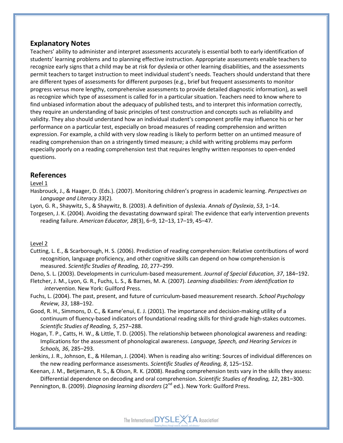Teachers' ability to administer and interpret assessments accurately is essential both to early identification of students' learning problems and to planning effective instruction. Appropriate assessments enable teachers to recognize early signs that a child may be at risk for dyslexia or other learning disabilities, and the assessments permit teachers to target instruction to meet individual student's needs. Teachers should understand that there are different types of assessments for different purposes (e.g., brief but frequent assessments to monitor progress versus more lengthy, comprehensive assessments to provide detailed diagnostic information), as well as recognize which type of assessment is called for in a particular situation. Teachers need to know where to find unbiased information about the adequacy of published tests, and to interpret this information correctly, they require an understanding of basic principles of test construction and concepts such as reliability and validity. They also should understand how an individual student's component profile may influence his or her performance on a particular test, especially on broad measures of reading comprehension and written expression. For example, a child with very slow reading is likely to perform better on an untimed measure of reading comprehension than on a stringently timed measure; a child with writing problems may perform especially poorly on a reading comprehension test that requires lengthy written responses to open-ended questions.

#### **References**

#### Level 1

Hasbrouck, J., & Haager, D. (Eds.). (2007). Monitoring children's progress in academic learning. *Perspectives on Language and Literacy 33*(2)*.* 

Lyon, G. R., Shaywitz, S., & Shaywitz, B. (2003). A definition of dyslexia. *Annals of Dyslexia*, *53*, 1–14.

Torgesen, J. K. (2004). Avoiding the devastating downward spiral: The evidence that early intervention prevents reading failure. *American Educator, 28*(3), 6–9, 12–13, 17–19, 45–47.

#### Level 2

Cutting, L. E., & Scarborough, H. S. (2006). Prediction of reading comprehension: Relative contributions of word recognition, language proficiency, and other cognitive skills can depend on how comprehension is measured. *Scientific Studies of Reading, 10*, 277–299.

Deno, S. L. (2003). Developments in curriculum-based measurement. *Journal of Special Education, 37*, 184–192.

Fletcher, J. M., Lyon, G. R., Fuchs, L. S., & Barnes, M. A. (2007). *Learning disabilities: From identification to intervention*. New York: Guilford Press.

Fuchs, L. (2004). The past, present, and future of curriculum-based measurement research. *School Psychology Review, 33*, 188–192.

- Good, R. H., Simmons, D. C., & Kame'enui, E. J. (2001). The importance and decision-making utility of a continuum of fluency-based indicators of foundational reading skills for third-grade high-stakes outcomes. *Scientific Studies of Reading, 5*, 257–288.
- Hogan, T. P., Catts, H. W., & Little, T. D. (2005). The relationship between phonological awareness and reading: Implications for the assessment of phonological awareness. *Language, Speech, and Hearing Services in Schools, 36*, 285–293.
- Jenkins, J. R., Johnson, E., & Hileman, J. (2004). When is reading also writing: Sources of individual differences on the new reading performance assessments. *Scientific Studies of Reading, 8*, 125–152.
- Keenan, J. M., Betjemann, R. S., & Olson, R. K. (2008). Reading comprehension tests vary in the skills they assess: Differential dependence on decoding and oral comprehension. *Scientific Studies of Reading, 12*, 281–300.

Pennington, B. (2009). *Diagnosing learning disorders* (2<sup>nd</sup> ed.). New York: Guilford Press.

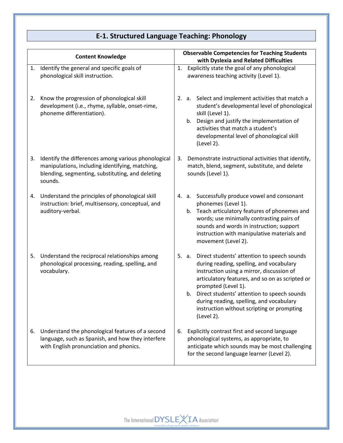|                          | E-1. Structured Language Teaching: Phonology                                                                                                                          |    |                                                                                                                                                                                                                                                                           |  |  |  |
|--------------------------|-----------------------------------------------------------------------------------------------------------------------------------------------------------------------|----|---------------------------------------------------------------------------------------------------------------------------------------------------------------------------------------------------------------------------------------------------------------------------|--|--|--|
|                          |                                                                                                                                                                       |    |                                                                                                                                                                                                                                                                           |  |  |  |
| <b>Content Knowledge</b> |                                                                                                                                                                       |    | <b>Observable Competencies for Teaching Students</b><br>with Dyslexia and Related Difficulties                                                                                                                                                                            |  |  |  |
| 1.                       | Identify the general and specific goals of<br>phonological skill instruction.                                                                                         | 1. | Explicitly state the goal of any phonological<br>awareness teaching activity (Level 1).                                                                                                                                                                                   |  |  |  |
| 2.                       | Know the progression of phonological skill<br>development (i.e., rhyme, syllable, onset-rime,<br>phoneme differentiation).                                            |    | 2. a. Select and implement activities that match a<br>student's developmental level of phonological<br>skill (Level 1).<br>Design and justify the implementation of<br>b.<br>activities that match a student's<br>developmental level of phonological skill<br>(Level 2). |  |  |  |
| 3.                       | Identify the differences among various phonological<br>manipulations, including identifying, matching,<br>blending, segmenting, substituting, and deleting<br>sounds. | 3. | Demonstrate instructional activities that identify,<br>match, blend, segment, substitute, and delete<br>sounds (Level 1).                                                                                                                                                 |  |  |  |

- 4. Understand the principles of phonological skill instruction: brief, multisensory, conceptual, and auditory-verbal.
- 5. Understand the reciprocal relationships among phonological processing, reading, spelling, and vocabulary.

6. Understand the phonological features of a second language, such as Spanish, and how they interfere with English pronunciation and phonics.

phonemes (Level 1). b. Teach articulatory features of phonemes and words; use minimally contrasting pairs of sounds and words in instruction; support instruction with manipulative materials and movement (Level 2).

4. a. Successfully produce vowel and consonant

- 5. a. Direct students' attention to speech sounds during reading, spelling, and vocabulary instruction using a mirror, discussion of articulatory features, and so on as scripted or prompted (Level 1).
	- b. Direct students' attention to speech sounds during reading, spelling, and vocabulary instruction without scripting or prompting (Level 2).
- 6. Explicitly contrast first and second language phonological systems, as appropriate, to anticipate which sounds may be most challenging for the second language learner (Level 2).

The International DYSLEXIA Association<sup>\*</sup>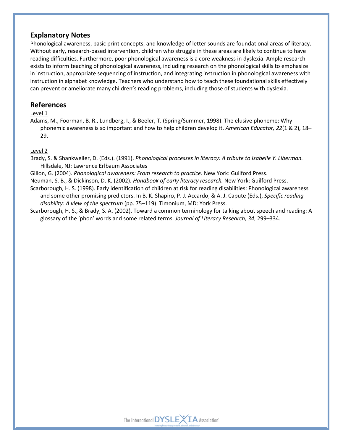Phonological awareness, basic print concepts, and knowledge of letter sounds are foundational areas of literacy. Without early, research-based intervention, children who struggle in these areas are likely to continue to have reading difficulties. Furthermore, poor phonological awareness is a core weakness in dyslexia. Ample research exists to inform teaching of phonological awareness, including research on the phonological skills to emphasize in instruction, appropriate sequencing of instruction, and integrating instruction in phonological awareness with instruction in alphabet knowledge. Teachers who understand how to teach these foundational skills effectively can prevent or ameliorate many children's reading problems, including those of students with dyslexia.

#### **References**

#### Level 1

Adams, M., Foorman, B. R., Lundberg, I., & Beeler, T. (Spring/Summer, 1998). The elusive phoneme: Why phonemic awareness is so important and how to help children develop it. *American Educator, 22*(1 & 2), 18– 29.

#### Level 2

Brady, S. & Shankweiler, D. (Eds.). (1991). *Phonological processes in literacy: A tribute to Isabelle Y. Liberman.*  Hillsdale, NJ: Lawrence Erlbaum Associates

Gillon, G. (2004). *Phonological awareness: From research to practice.* New York: Guilford Press.

Neuman, S. B., & Dickinson, D. K. (2002). *Handbook of early literacy research.* New York: Guilford Press.

Scarborough, H. S. (1998). Early identification of children at risk for reading disabilities: Phonological awareness and some other promising predictors. In B. K. Shapiro, P. J. Accardo, & A. J. Capute (Eds.), *Specific reading disability: A view of the spectrum* (pp. 75–119). Timonium, MD: York Press.

Scarborough, H. S., & Brady, S. A. (2002). Toward a common terminology for talking about speech and reading: A glossary of the 'phon' words and some related terms. *Journal of Literacy Research, 34*, 299–334.

The International DYSLEXIA Association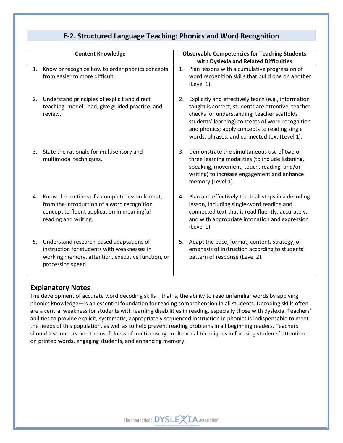|    | <b>Content Knowledge</b>                                                                                                                                             |    | <b>Observable Competencies for Teaching Students</b><br>with Dyslexia and Related Difficulties                                                                                                                                                                                                                 |  |  |
|----|----------------------------------------------------------------------------------------------------------------------------------------------------------------------|----|----------------------------------------------------------------------------------------------------------------------------------------------------------------------------------------------------------------------------------------------------------------------------------------------------------------|--|--|
| 1. | Know or recognize how to order phonics concepts<br>from easier to more difficult.                                                                                    | 1. | Plan lessons with a cumulative progression of<br>word recognition skills that build one on another<br>(Level 1).                                                                                                                                                                                               |  |  |
| 2. | Understand principles of explicit and direct<br>teaching: model, lead, give guided practice, and<br>review.                                                          | 2. | Explicitly and effectively teach (e.g., information<br>taught is correct, students are attentive, teacher<br>checks for understanding, teacher scaffolds<br>students' learning) concepts of word recognition<br>and phonics; apply concepts to reading single<br>words, phrases, and connected text (Level 1). |  |  |
| 3. | State the rationale for multisensory and<br>multimodal techniques.                                                                                                   | 3. | Demonstrate the simultaneous use of two or<br>three learning modalities (to include listening,<br>speaking, movement, touch, reading, and/or<br>writing) to increase engagement and enhance<br>memory (Level 1).                                                                                               |  |  |
| 4. | Know the routines of a complete lesson format,<br>from the introduction of a word recognition<br>concept to fluent application in meaningful<br>reading and writing. | 4. | Plan and effectively teach all steps in a decoding<br>lesson, including single-word reading and<br>connected text that is read fluently, accurately,<br>and with appropriate intonation and expression<br>(Level 1).                                                                                           |  |  |
| 5. | Understand research-based adaptations of<br>instruction for students with weaknesses in<br>working memory, attention, executive function, or<br>processing speed.    | 5. | Adapt the pace, format, content, strategy, or<br>emphasis of instruction according to students'<br>pattern of response (Level 2).                                                                                                                                                                              |  |  |

## **E-2. Structured Language Teaching: Phonics and Word Recognition**

## **Explanatory Notes**

The development of accurate word decoding skills—that is, the ability to read unfamiliar words by applying phonics knowledge—is an essential foundation for reading comprehension in all students. Decoding skills often are a central weakness for students with learning disabilities in reading, especially those with dyslexia. Teachers' abilities to provide explicit, systematic, appropriately sequenced instruction in phonics is indispensable to meet the needs of this population, as well as to help prevent reading problems in all beginning readers. Teachers should also understand the usefulness of multisensory, multimodal techniques in focusing students' attention on printed words, engaging students, and enhancing memory.

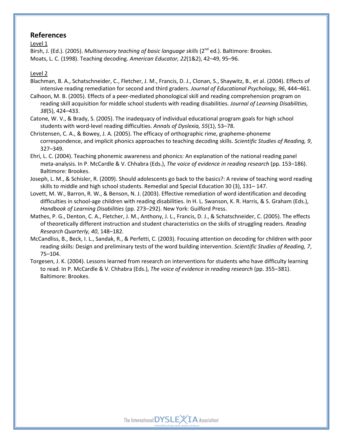#### **References**

Level 1

Birsh, J. (Ed.). (2005). *Multisensory teaching of basic language skills* (2<sup>nd</sup> ed.). Baltimore: Brookes. Moats, L. C. (1998). Teaching decoding. *American Educator, 22*(1&2), 42–49, 95–96.

#### Level 2

- Blachman, B. A., Schatschneider, C., Fletcher, J. M., Francis, D. J., Clonan, S., Shaywitz, B., et al. (2004). Effects of intensive reading remediation for second and third graders. *Journal of Educational Psychology, 96*, 444–461.
- Calhoon, M. B. (2005). Effects of a peer-mediated phonological skill and reading comprehension program on reading skill acquisition for middle school students with reading disabilities. *Journal of Learning Disabilities, 38*(5), 424–433.
- Catone, W. V., & Brady, S. (2005). The inadequacy of individual educational program goals for high school students with word-level reading difficulties. *Annals of Dyslexia, 55*(1), 53–78.
- Christensen, C. A., & Bowey, J. A. (2005). The efficacy of orthographic rime, grapheme-phoneme correspondence, and implicit phonics approaches to teaching decoding skills. *Scientific Studies of Reading, 9*, 327–349.
- Ehri, L. C. (2004). Teaching phonemic awareness and phonics: An explanation of the national reading panel meta-analysis. In P. McCardle & V. Chhabra (Eds.), *The voice of evidence in reading research* (pp. 153–186). Baltimore: Brookes.
- Joseph, L. M., & Schisler, R. (2009). Should adolescents go back to the basics?: A review of teaching word reading skills to middle and high school students. Remedial and Special Education 30 (3), 131– 147.
- Lovett, M. W., Barron, R. W., & Benson, N. J. (2003). Effective remediation of word identification and decoding difficulties in school-age children with reading disabilities. In H. L. Swanson, K. R. Harris, & S. Graham (Eds.), *Handbook of Learning Disabilities* (pp. 273–292). New York: Guilford Press.
- Mathes, P. G., Denton, C. A., Fletcher, J. M., Anthony, J. L., Francis, D. J., & Schatschneider, C. (2005). The effects of theoretically different instruction and student characteristics on the skills of struggling readers. *Reading Research Quarterly, 40*, 148–182.
- McCandliss, B., Beck, I. L., Sandak, R., & Perfetti, C. (2003). Focusing attention on decoding for children with poor reading skills: Design and preliminary tests of the word building intervention. *Scientific Studies of Reading, 7*, 75–104.
- Torgesen, J. K. (2004). Lessons learned from research on interventions for students who have difficulty learning to read. In P. McCardle & V. Chhabra (Eds.), *The voice of evidence in reading research* (pp. 355–381). Baltimore: Brookes.

The International DYSLEXIA Association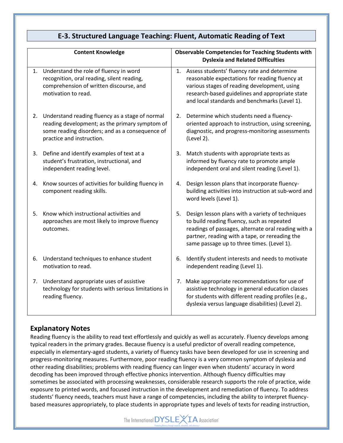| E-3. Structured Language Teaching: Fluent, Automatic Reading of Text |  |
|----------------------------------------------------------------------|--|
|----------------------------------------------------------------------|--|

|    | <b>Content Knowledge</b>                                                                                                                                                          |    | <b>Observable Competencies for Teaching Students with</b><br><b>Dyslexia and Related Difficulties</b>                                                                                                                                                 |
|----|-----------------------------------------------------------------------------------------------------------------------------------------------------------------------------------|----|-------------------------------------------------------------------------------------------------------------------------------------------------------------------------------------------------------------------------------------------------------|
|    | 1. Understand the role of fluency in word<br>recognition, oral reading, silent reading,<br>comprehension of written discourse, and<br>motivation to read.                         |    | 1. Assess students' fluency rate and determine<br>reasonable expectations for reading fluency at<br>various stages of reading development, using<br>research-based guidelines and appropriate state<br>and local standards and benchmarks (Level 1).  |
| 2. | Understand reading fluency as a stage of normal<br>reading development; as the primary symptom of<br>some reading disorders; and as a consequence of<br>practice and instruction. |    | 2. Determine which students need a fluency-<br>oriented approach to instruction, using screening,<br>diagnostic, and progress-monitoring assessments<br>(Level 2).                                                                                    |
| 3. | Define and identify examples of text at a<br>student's frustration, instructional, and<br>independent reading level.                                                              |    | 3. Match students with appropriate texts as<br>informed by fluency rate to promote ample<br>independent oral and silent reading (Level 1).                                                                                                            |
| 4. | Know sources of activities for building fluency in<br>component reading skills.                                                                                                   | 4. | Design lesson plans that incorporate fluency-<br>building activities into instruction at sub-word and<br>word levels (Level 1).                                                                                                                       |
| 5. | Know which instructional activities and<br>approaches are most likely to improve fluency<br>outcomes.                                                                             | 5. | Design lesson plans with a variety of techniques<br>to build reading fluency, such as repeated<br>readings of passages, alternate oral reading with a<br>partner, reading with a tape, or rereading the<br>same passage up to three times. (Level 1). |
| 6. | Understand techniques to enhance student<br>motivation to read.                                                                                                                   | 6. | Identify student interests and needs to motivate<br>independent reading (Level 1).                                                                                                                                                                    |
| 7. | Understand appropriate uses of assistive<br>technology for students with serious limitations in<br>reading fluency.                                                               |    | 7. Make appropriate recommendations for use of<br>assistive technology in general education classes<br>for students with different reading profiles (e.g.,<br>dyslexia versus language disabilities) (Level 2).                                       |

Reading fluency is the ability to read text effortlessly and quickly as well as accurately. Fluency develops among typical readers in the primary grades. Because fluency is a useful predictor of overall reading competence, especially in elementary-aged students, a variety of fluency tasks have been developed for use in screening and progress-monitoring measures. Furthermore, poor reading fluency is a very common symptom of dyslexia and other reading disabilities; problems with reading fluency can linger even when students' accuracy in word decoding has been improved through effective phonics intervention. Although fluency difficulties may sometimes be associated with processing weaknesses, considerable research supports the role of practice, wide exposure to printed words, and focused instruction in the development and remediation of fluency. To address students' fluency needs, teachers must have a range of competencies, including the ability to interpret fluencybased measures appropriately, to place students in appropriate types and levels of texts for reading instruction,

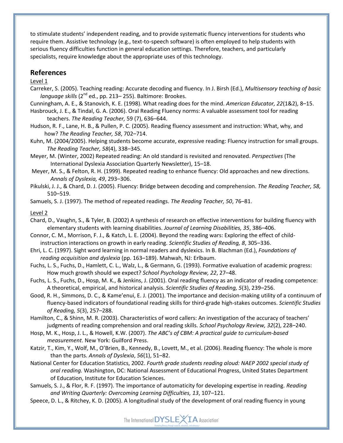to stimulate students' independent reading, and to provide systematic fluency interventions for students who require them. Assistive technology (e.g., text-to-speech software) is often employed to help students with serious fluency difficulties function in general education settings. Therefore, teachers, and particularly specialists, require knowledge about the appropriate uses of this technology.

#### **References**

Level 1

- Carreker, S. (2005). Teaching reading: Accurate decoding and fluency. In J. Birsh (Ed.), *Multisensory teaching of basic language skills* (2<sup>nd</sup> ed., pp. 213– 255). Baltimore: Brookes.
- Cunningham, A. E., & Stanovich, K. E. (1998). What reading does for the mind. *American Educator, 22*(1&2), 8–15.
- Hasbrouck, J. E., & Tindal, G. A. (2006). Oral Reading Fluency norms: A valuable assessment tool for reading teachers. *The Reading Teacher,* 59 (7), 636–644.
- Hudson, R. F., Lane, H. B., & Pullen, P. C. (2005). Reading fluency assessment and instruction: What, why, and how? *The Reading Teacher, 58*, 702–714.

Kuhn, M. (2004/2005). Helping students become accurate, expressive reading: Fluency instruction for small groups. *The Reading Teacher, 58*(4), 338–345.

- Meyer, M. (Winter, 2002) Repeated reading: An old standard is revisited and renovated. *Perspectives* (The International Dyslexia Association Quarterly Newsletter), 15–18.
- Meyer, M. S., & Felton, R. H. (1999). Repeated reading to enhance fluency: Old approaches and new directions. *Annals of Dyslexia, 49*, 293–306.
- Pikulski, J. J., & Chard, D. J. (2005). Fluency: Bridge between decoding and comprehension. *The Reading Teacher, 58,*  510–519.

Samuels, S. J. (1997). The method of repeated readings. *The Reading Teacher, 50*, 76–81.

#### Level 2

- Chard, D., Vaughn, S., & Tyler, B. (2002) A synthesis of research on effective interventions for building fluency with elementary students with learning disabilities. *Journal of Learning Disabilities, 35*, 386–406.
- Connor, C. M., Morrison, F. J., & Katch, L. E. (2004). Beyond the reading wars: Exploring the effect of childinstruction interactions on growth in early reading. *Scientific Studies of Reading, 8*, 305–336.
- Ehri, L. C. (1997). Sight word learning in normal readers and dyslexics. In B. Blachman (Ed.), *Foundations of reading acquisition and dyslexia* (pp. 163–189). Mahwah, NJ: Erlbaum.
- Fuchs, L. S., Fuchs, D., Hamlett, C. L., Walz, L., & Germann, G. (1993). Formative evaluation of academic progress: How much growth should we expect? *School Psychology Review, 22*, 27–48.
- Fuchs, L. S., Fuchs, D., Hosp, M. K., & Jenkins, J. (2001). Oral reading fluency as an indicator of reading competence: A theoretical, empirical, and historical analysis. *Scientific Studies of Reading, 5*(3), 239–256.
- Good, R. H., Simmons, D. C., & Kame'enui, E. J. (2001). The importance and decision-making utility of a continuum of fluency-based indicators of foundational reading skills for third-grade high-stakes outcomes. *Scientific Studies of Reading, 5*(3), 257–288.
- Hamilton, C., & Shinn, M. R. (2003). Characteristics of word callers: An investigation of the accuracy of teachers' judgments of reading comprehension and oral reading skills. *School Psychology Review, 32*(2), 228–240.
- Hosp, M. K., Hosp, J. L., & Howell, K.W. (2007). *The ABC's of CBM: A practical guide to curriculum-based measurement*. New York: Guilford Press.
- Katzir, T., Kim, Y., Wolf, M., O'Brien, B., Kennedy, B., Lovett, M., et al. (2006). Reading fluency: The whole is more than the parts. *Annals of Dyslexia*, *56*(1), 51–82.
- National Center for Education Statistics, 2002. *Fourth grade students reading aloud: NAEP 2002 special study of oral reading.* Washington, DC: National Assessment of Educational Progress, United States Department of Education, Institute for Education Sciences.
- Samuels, S. J., & Flor, R. F. (1997). The importance of automaticity for developing expertise in reading. *Reading and Writing Quarterly: Overcoming Learning Difficulties, 13*, 107–121.
- Speece, D. L., & Ritchey, K. D. (2005). A longitudinal study of the development of oral reading fluency in young

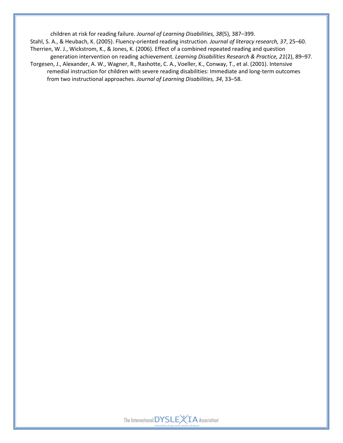children at risk for reading failure. *Journal of Learning Disabilities, 38*(5), 387–399. Stahl, S. A., & Heubach, K. (2005). Fluency-oriented reading instruction. *Journal of literacy research, 37*, 25–60. Therrien, W. J., Wickstrom, K., & Jones, K. (2006). Effect of a combined repeated reading and question generation intervention on reading achievement. *Learning Disabilities Research & Practice, 21*(2), 89–97. Torgesen, J., Alexander, A. W., Wagner, R., Rashotte, C. A., Voeller, K., Conway, T., et al. (2001). Intensive remedial instruction for children with severe reading disabilities: Immediate and long-term outcomes from two instructional approaches. *Journal of Learning Disabilities, 34*, 33–58.

The International DYSLEXIA Association<sup>®</sup>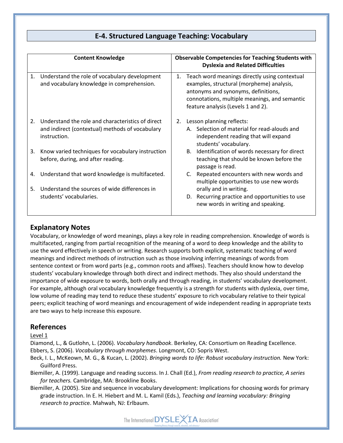## **E-4. Structured Language Teaching: Vocabulary**

|    | <b>Content Knowledge</b>                                                                                             |    | <b>Observable Competencies for Teaching Students with</b><br><b>Dyslexia and Related Difficulties</b>                                                                                                                    |
|----|----------------------------------------------------------------------------------------------------------------------|----|--------------------------------------------------------------------------------------------------------------------------------------------------------------------------------------------------------------------------|
| 1. | Understand the role of vocabulary development<br>and vocabulary knowledge in comprehension.                          | 1. | Teach word meanings directly using contextual<br>examples, structural (morpheme) analysis,<br>antonyms and synonyms, definitions,<br>connotations, multiple meanings, and semantic<br>feature analysis (Levels 1 and 2). |
| 2. | Understand the role and characteristics of direct<br>and indirect (contextual) methods of vocabulary<br>instruction. | 2. | Lesson planning reflects:<br>A. Selection of material for read-alouds and<br>independent reading that will expand<br>students' vocabulary.                                                                               |
| 3. | Know varied techniques for vocabulary instruction<br>before, during, and after reading.                              |    | Identification of words necessary for direct<br>В.<br>teaching that should be known before the<br>passage is read.                                                                                                       |
| 4. | Understand that word knowledge is multifaceted.                                                                      |    | Repeated encounters with new words and<br>C.<br>multiple opportunities to use new words                                                                                                                                  |
| 5. | Understand the sources of wide differences in<br>students' vocabularies.                                             |    | orally and in writing.<br>D. Recurring practice and opportunities to use                                                                                                                                                 |
|    |                                                                                                                      |    | new words in writing and speaking.                                                                                                                                                                                       |

## **Explanatory Notes**

Vocabulary, or knowledge of word meanings, plays a key role in reading comprehension. Knowledge of words is multifaceted, ranging from partial recognition of the meaning of a word to deep knowledge and the ability to use the word effectively in speech or writing. Research supports both explicit, systematic teaching of word meanings and indirect methods of instruction such as those involving inferring meanings of words from sentence context or from word parts (e.g., common roots and affixes). Teachers should know how to develop students' vocabulary knowledge through both direct and indirect methods. They also should understand the importance of wide exposure to words, both orally and through reading, in students' vocabulary development. For example, although oral vocabulary knowledge frequently is a strength for students with dyslexia, over time, low volume of reading may tend to reduce these students' exposure to rich vocabulary relative to their typical peers; explicit teaching of word meanings and encouragement of wide independent reading in appropriate texts are two ways to help increase this exposure.

## **References**

Level 1

Diamond, L., & Gutlohn, L. (2006). *Vocabulary handbook*. Berkeley, CA: Consortium on Reading Excellence. Ebbers, S. (2006). *Vocabulary through morphemes*. Longmont, CO: Sopris West.

Beck, I. L., McKeown, M. G., & Kucan, L. (2002). *Bringing words to life: Robust vocabulary instruction.* New York: Guilford Press.

Biemiller, A. (1999). Language and reading success. In J. Chall (Ed.), *From reading research to practice, A series for teachers.* Cambridge, MA: Brookline Books.

Biemiller, A. (2005). Size and sequence in vocabulary development: Implications for choosing words for primary grade instruction. In E. H. Hiebert and M. L. Kamil (Eds.), *Teaching and learning vocabulary: Bringing research to practic*e. Mahwah, NJ: Erlbaum.

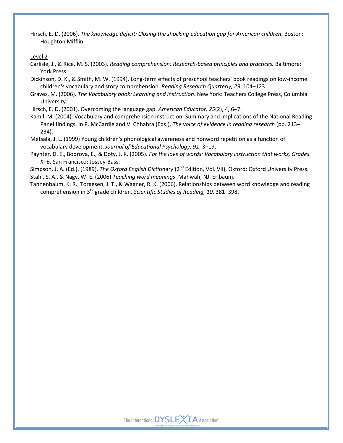Hirsch, E. D. (2006). *The knowledge deficit: Closing the shocking education gap for American children.* Boston: Houghton Mifflin.

Level 2

- Carlisle, J., & Rice, M. S. (2003). *Reading comprehension: Research-based principles and practices.* Baltimore: York Press.
- Dickinson, D. K., & Smith, M. W. (1994). Long-term effects of preschool teachers' book readings on low-income children's vocabulary and story comprehension. *Reading Research Quarterly, 29*, 104–123.
- Graves, M. (2006). *The Vocabulary book: Learning and instruction*. New York: Teachers College Press, Columbia University.

Hirsch, E. D. (2001). Overcoming the language gap. *American Educator, 25*(2), 4, 6–7.

- Kamil, M. (2004). Vocabulary and comprehension instruction: Summary and implications of the National Reading Panel findings. In P. McCardle and V. Chhabra (Eds.), *The voice of evidence in reading research* (pp. 213– 234).
- Metsala, J. L. (1999) Young children's phonological awareness and nonword repetition as a function of vocabulary development. *Journal of Educational Psychology, 91*, 3–19.
- Paynter, D. E., Bodrova, E., & Doty, J. K. (2005). *For the love of words: Vocabulary instruction that works, Grades K–6*. San Francisco: Jossey-Bass.
- Simpson, J. A. (Ed.). (1989). *The Oxford English Dictionary* (2<sup>nd</sup> Edition, Vol. VII). Oxford: Oxford University Press. Stahl, S. A., & Nagy, W. E. (2006) *Teaching word meanings*. Mahwah, NJ: Erlbaum.
- Tannenbaum, K. R., Torgesen, J. T., & Wagner, R. K. (2006). Relationships between word knowledge and reading comprehension in 3rd grade children. *Scientific Studies of Reading, 10*, 381–398.

The International DYSLEXIA Association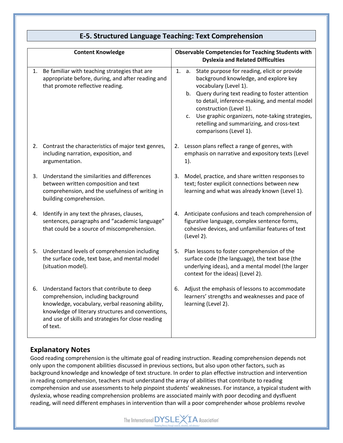|  |  |  |  | E-5. Structured Language Teaching: Text Comprehension |
|--|--|--|--|-------------------------------------------------------|
|--|--|--|--|-------------------------------------------------------|

|    | <b>Content Knowledge</b>                                                                                                                                                                                                                                        |    | <b>Observable Competencies for Teaching Students with</b><br><b>Dyslexia and Related Difficulties</b>                                                                                                                                                                                                                                                                                   |
|----|-----------------------------------------------------------------------------------------------------------------------------------------------------------------------------------------------------------------------------------------------------------------|----|-----------------------------------------------------------------------------------------------------------------------------------------------------------------------------------------------------------------------------------------------------------------------------------------------------------------------------------------------------------------------------------------|
| 1. | Be familiar with teaching strategies that are<br>appropriate before, during, and after reading and<br>that promote reflective reading.                                                                                                                          |    | State purpose for reading, elicit or provide<br>1. a.<br>background knowledge, and explore key<br>vocabulary (Level 1).<br>b. Query during text reading to foster attention<br>to detail, inference-making, and mental model<br>construction (Level 1).<br>Use graphic organizers, note-taking strategies,<br>C.<br>retelling and summarizing, and cross-text<br>comparisons (Level 1). |
|    | 2. Contrast the characteristics of major text genres,<br>including narration, exposition, and<br>argumentation.                                                                                                                                                 | 2. | Lesson plans reflect a range of genres, with<br>emphasis on narrative and expository texts (Level<br>$1$ ).                                                                                                                                                                                                                                                                             |
|    | 3. Understand the similarities and differences<br>between written composition and text<br>comprehension, and the usefulness of writing in<br>building comprehension.                                                                                            | 3. | Model, practice, and share written responses to<br>text; foster explicit connections between new<br>learning and what was already known (Level 1).                                                                                                                                                                                                                                      |
|    | 4. Identify in any text the phrases, clauses,<br>sentences, paragraphs and "academic language"<br>that could be a source of miscomprehension.                                                                                                                   |    | 4. Anticipate confusions and teach comprehension of<br>figurative language, complex sentence forms,<br>cohesive devices, and unfamiliar features of text<br>(Level 2).                                                                                                                                                                                                                  |
|    | 5. Understand levels of comprehension including<br>the surface code, text base, and mental model<br>(situation model).                                                                                                                                          | 5. | Plan lessons to foster comprehension of the<br>surface code (the language), the text base (the<br>underlying ideas), and a mental model (the larger<br>context for the ideas) (Level 2).                                                                                                                                                                                                |
|    | 6. Understand factors that contribute to deep<br>comprehension, including background<br>knowledge, vocabulary, verbal reasoning ability,<br>knowledge of literary structures and conventions,<br>and use of skills and strategies for close reading<br>of text. | 6. | Adjust the emphasis of lessons to accommodate<br>learners' strengths and weaknesses and pace of<br>learning (Level 2).                                                                                                                                                                                                                                                                  |

Good reading comprehension is the ultimate goal of reading instruction. Reading comprehension depends not only upon the component abilities discussed in previous sections, but also upon other factors, such as background knowledge and knowledge of text structure. In order to plan effective instruction and intervention in reading comprehension, teachers must understand the array of abilities that contribute to reading comprehension and use assessments to help pinpoint students' weaknesses. For instance, a typical student with dyslexia, whose reading comprehension problems are associated mainly with poor decoding and dysfluent reading, will need different emphases in intervention than will a poor comprehender whose problems revolve

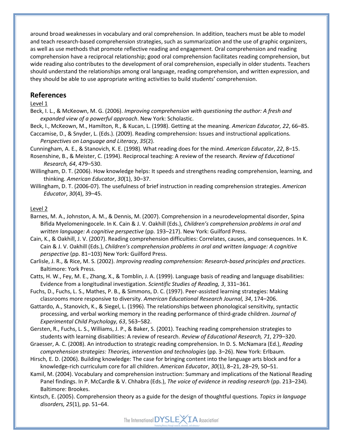around broad weaknesses in vocabulary and oral comprehension. In addition, teachers must be able to model and teach research-based comprehension strategies, such as summarization and the use of graphic organizers, as well as use methods that promote reflective reading and engagement. Oral comprehension and reading comprehension have a reciprocal relationship; good oral comprehension facilitates reading comprehension, but wide reading also contributes to the development of oral comprehension, especially in older students. Teachers should understand the relationships among oral language, reading comprehension, and written expression, and they should be able to use appropriate writing activities to build students' comprehension.

#### **References**

#### Level 1

- Beck, I. L., & McKeown, M. G. (2006). *Improving comprehension with questioning the author: A fresh and expanded view of a powerful approach*. New York: Scholastic.
- Beck, I., McKeown, M., Hamilton, R., & Kucan, L. (1998). Getting at the meaning. *American Educator, 22*, 66–85.

Caccamise, D., & Snyder, L. (Eds.). (2009). Reading comprehension: Issues and instructional applications*. Perspectives on Language and Literacy*, *35*(2).

Cunningham, A. E., & Stanovich, K. E. (1998). What reading does for the mind. *American Educator*, *22*, 8–15.

- Rosenshine, B., & Meister, C. (1994). Reciprocal teaching: A review of the research. *Review of Educational Research, 64*, 479–530.
- Willingham, D. T. (2006). How knowledge helps: It speeds and strengthens reading comprehension, learning, and thinking. *American Educator*, *30*(1), 30–37.
- Willingham, D. T. (2006-07). The usefulness of brief instruction in reading comprehension strategies. *American Educator*, *30*(4), 39–45.

#### Level 2

- Barnes, M. A., Johnston, A. M., & Dennis, M. (2007). Comprehension in a neurodevelopmental disorder, Spina Bifida Myelomeningocele. In K. Cain & J. V. Oakhill (Eds.), *Children's comprehension problems in oral and written language: A cognitive perspective* (pp. 193–217). New York: Guilford Press.
- Cain, K., & Oakhill, J. V. (2007). Reading comprehension difficulties: Correlates, causes, and consequences. In K. Cain & J. V. Oakhill (Eds.), *Children's comprehension problems in oral and written language: A cognitive perspective* (pp. 81–103) New York: Guilford Press.
- Carlisle, J. R., & Rice, M. S. (2002). *Improving reading comprehension: Research-based principles and practices*. Baltimore: York Press.
- Catts, H. W., Fey, M. E., Zhang, X., & Tomblin, J. A. (1999). Language basis of reading and language disabilities: Evidence from a longitudinal investigation. *Scientific Studies of Reading, 3*, 331–361.

Fuchs, D., Fuchs, L. S., Mathes, P. B., & Simmons, D. C. (1997). Peer-assisted learning strategies: Making classrooms more responsive to diversity. *American Educational Research Journal, 34*, 174–206.

Gattardo, A., Stanovich, K., & Siegel, L. (1996). The relationships between phonological sensitivity, syntactic processing, and verbal working memory in the reading performance of third-grade children. *Journal of Experimental Child Psychology, 63*, 563–582.

Gersten, R., Fuchs, L. S., Williams, J. P., & Baker, S. (2001). Teaching reading comprehension strategies to students with learning disabilities: A review of research. *Review of Educational Research, 71*, 279–320.

Graesser, A. C. (2008). An introduction to strategic reading comprehension. In D. S. McNamara (Ed.), *Reading comprehension strategies: Theories, intervention and technologies* (pp. 3–26). New York: Erlbaum.

Hirsch, E. D. (2006). Building knowledge: The case for bringing content into the language arts block and for a knowledge-rich curriculum core for all children. *American Educator*, *30*(1), 8–21, 28–29, 50–51.

Kamil, M. (2004). Vocabulary and comprehension instruction: Summary and implications of the National Reading Panel findings. In P. McCardle & V. Chhabra (Eds.), *The voice of evidence in reading research* (pp. 213–234). Baltimore: Brookes.

Kintsch, E. (2005). Comprehension theory as a guide for the design of thoughtful questions. *Topics in language disorders, 25*(1), pp. 51–64.

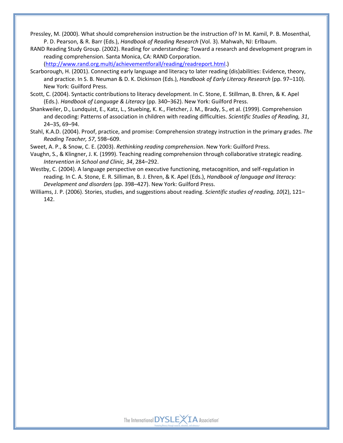- Pressley, M. (2000). What should comprehension instruction be the instruction of? In M. Kamil, P. B. Mosenthal, P. D. Pearson, & R. Barr (Eds.), *Handbook of Reading Research* (Vol. 3). Mahwah, NJ: Erlbaum.
- RAND Reading Study Group. (2002). Reading for understanding: Toward a research and development program in reading comprehension. Santa Monica, CA: RAND Corporation. [\(http://www.rand.org.multi/achievementforall/reading/readreport.html.](http://www.rand.org.multi/achievementforall/reading/readreport.html))
- Scarborough, H. (2001). Connecting early language and literacy to later reading (dis)abilities: Evidence, theory, and practice. In S. B. Neuman & D. K. Dickinson (Eds.), *Handbook of Early Literacy Research* (pp. 97–110). New York: Guilford Press.
- Scott, C. (2004). Syntactic contributions to literacy development. In C. Stone, E. Stillman, B. Ehren, & K. Apel (Eds.). *Handbook of Language & Literacy* (pp. 340–362). New York: Guilford Press.
- Shankweiler, D., Lundquist, E., Katz, L., Stuebing, K. K., Fletcher, J. M., Brady, S., et al. (1999). Comprehension and decoding: Patterns of association in children with reading difficulties. *Scientific Studies of Reading, 31*, 24–35, 69–94.
- Stahl, K.A.D. (2004). Proof, practice, and promise: Comprehension strategy instruction in the primary grades. *The Reading Teacher, 57*, 598–609.

Sweet, A. P., & Snow, C. E. (2003). *Rethinking reading comprehension*. New York: Guilford Press.

- Vaughn, S., & Klingner, J. K. (1999). Teaching reading comprehension through collaborative strategic reading. *Intervention in School and Clinic, 34*, 284–292.
- Westby, C. (2004). A language perspective on executive functioning, metacognition, and self-regulation in reading. In C. A. Stone, E. R. Silliman, B. J. Ehren, & K. Apel (Eds.), *Handbook of language and literacy: Development and disorders* (pp. 398–427). New York: Guilford Press.
- Williams, J. P. (2006). Stories, studies, and suggestions about reading. *Scientific studies of reading, 10*(2), 121– 142.

The International DYSLEXIA Association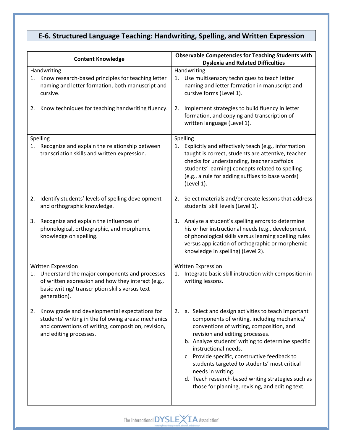## **E-6. Structured Language Teaching: Handwriting, Spelling, and Written Expression**

| <b>Content Knowledge</b>                                                                                                                                                                                  |                                                                                                                                                                                      | <b>Observable Competencies for Teaching Students with</b><br><b>Dyslexia and Related Difficulties</b>                                                                                                                                                                                                                                                                                                                                                                                               |  |
|-----------------------------------------------------------------------------------------------------------------------------------------------------------------------------------------------------------|--------------------------------------------------------------------------------------------------------------------------------------------------------------------------------------|-----------------------------------------------------------------------------------------------------------------------------------------------------------------------------------------------------------------------------------------------------------------------------------------------------------------------------------------------------------------------------------------------------------------------------------------------------------------------------------------------------|--|
| Handwriting<br>1. Know research-based principles for teaching letter                                                                                                                                      |                                                                                                                                                                                      | Handwriting<br>1. Use multisensory techniques to teach letter                                                                                                                                                                                                                                                                                                                                                                                                                                       |  |
|                                                                                                                                                                                                           | naming and letter formation, both manuscript and<br>cursive.                                                                                                                         | naming and letter formation in manuscript and<br>cursive forms (Level 1).                                                                                                                                                                                                                                                                                                                                                                                                                           |  |
| 2.                                                                                                                                                                                                        | Know techniques for teaching handwriting fluency.                                                                                                                                    | Implement strategies to build fluency in letter<br>2.<br>formation, and copying and transcription of<br>written language (Level 1).                                                                                                                                                                                                                                                                                                                                                                 |  |
| Spelling                                                                                                                                                                                                  |                                                                                                                                                                                      | Spelling                                                                                                                                                                                                                                                                                                                                                                                                                                                                                            |  |
| 1.                                                                                                                                                                                                        | Recognize and explain the relationship between<br>transcription skills and written expression.                                                                                       | Explicitly and effectively teach (e.g., information<br>1.<br>taught is correct, students are attentive, teacher<br>checks for understanding, teacher scaffolds<br>students' learning) concepts related to spelling<br>(e.g., a rule for adding suffixes to base words)<br>(Level 1).                                                                                                                                                                                                                |  |
| 2.                                                                                                                                                                                                        | Identify students' levels of spelling development<br>and orthographic knowledge.                                                                                                     | Select materials and/or create lessons that address<br>2.<br>students' skill levels (Level 1).                                                                                                                                                                                                                                                                                                                                                                                                      |  |
| 3.                                                                                                                                                                                                        | Recognize and explain the influences of<br>phonological, orthographic, and morphemic<br>knowledge on spelling.                                                                       | Analyze a student's spelling errors to determine<br>3.<br>his or her instructional needs (e.g., development<br>of phonological skills versus learning spelling rules<br>versus application of orthographic or morphemic<br>knowledge in spelling) (Level 2).                                                                                                                                                                                                                                        |  |
| <b>Written Expression</b><br>Understand the major components and processes<br>1.<br>of written expression and how they interact (e.g.,<br>basic writing/ transcription skills versus text<br>generation). |                                                                                                                                                                                      | <b>Written Expression</b><br>Integrate basic skill instruction with composition in<br>1.<br>writing lessons.                                                                                                                                                                                                                                                                                                                                                                                        |  |
| 2.                                                                                                                                                                                                        | Know grade and developmental expectations for<br>students' writing in the following areas: mechanics<br>and conventions of writing, composition, revision,<br>and editing processes. | a. Select and design activities to teach important<br>2.<br>components of writing, including mechanics/<br>conventions of writing, composition, and<br>revision and editing processes.<br>b. Analyze students' writing to determine specific<br>instructional needs.<br>c. Provide specific, constructive feedback to<br>students targeted to students' most critical<br>needs in writing.<br>d. Teach research-based writing strategies such as<br>those for planning, revising, and editing text. |  |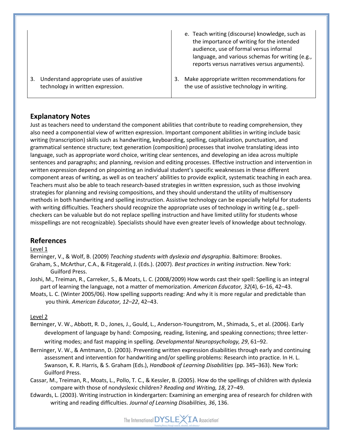3. Understand appropriate uses of assistive technology in written expression. e. Teach writing (discourse) knowledge, such as the importance of writing for the intended audience, use of formal versus informal language, and various schemas for writing (e.g., reports versus narratives versus arguments). 3. Make appropriate written recommendations for the use of assistive technology in writing.

## **Explanatory Notes**

Just as teachers need to understand the component abilities that contribute to reading comprehension, they also need a componential view of written expression. Important component abilities in writing include basic writing (transcription) skills such as handwriting, keyboarding, spelling, capitalization, punctuation, and grammatical sentence structure; text generation (composition) processes that involve translating ideas into language, such as appropriate word choice, writing clear sentences, and developing an idea across multiple sentences and paragraphs; and planning, revision and editing processes. Effective instruction and intervention in written expression depend on pinpointing an individual student's specific weaknesses in these different component areas of writing, as well as on teachers' abilities to provide explicit, systematic teaching in each area. Teachers must also be able to teach research-based strategies in written expression, such as those involving strategies for planning and revising compositions, and they should understand the utility of multisensory methods in both handwriting and spelling instruction. Assistive technology can be especially helpful for students with writing difficulties. Teachers should recognize the appropriate uses of technology in writing (e.g., spellcheckers can be valuable but do not replace spelling instruction and have limited utility for students whose misspellings are not recognizable). Specialists should have even greater levels of knowledge about technology.

#### **References**

#### Level 1

Berninger, V., & Wolf, B. (2009) *Teaching students with dyslexia and dysgraphia*. Baltimore: Brookes.

- Graham, S., McArthur, C.A., & Fitzgerald, J. (Eds.). (2007). *Best practices in writing instruction*. New York: Guilford Press.
- Joshi, M., Treiman, R., Carreker, S., & Moats, L. C. (2008/2009) How words cast their spell: Spelling is an integral part of learning the language, not a matter of memorization. *American Educator, 32*(4), 6–16, 42–43.
- Moats, L. C. (Winter 2005/06). How spelling supports reading: And why it is more regular and predictable than you think. *American Educator, 12–22*, 42–43.

#### Level 2

- Berninger, V. W., Abbott, R. D., Jones, J., Gould, L., Anderson-Youngstrom, M., Shimada, S., et al. (2006). Early development of language by hand: Composing, reading, listening, and speaking connections; three letterwriting modes; and fast mapping in spelling. *Developmental Neuropsychology, 29*, 61–92.
- Berninger, V. W., & Amtmann, D. (2003). Preventing written expression disabilities through early and continuing assessment and intervention for handwriting and/or spelling problems: Research into practice. In H. L. Swanson, K. R. Harris, & S. Graham (Eds.), *Handbook of Learning Disabilities* (pp. 345–363). New York: Guilford Press.
- Cassar, M., Treiman, R., Moats, L., Pollo, T. C., & Kessler, B. (2005). How do the spellings of children with dyslexia compare with those of nondyslexic children? *Reading and Writing, 18*, 27–49.
- Edwards, L. (2003). Writing instruction in kindergarten: Examining an emerging area of research for children with writing and reading difficulties. *Journal of Learning Disabilities, 36*, 136.

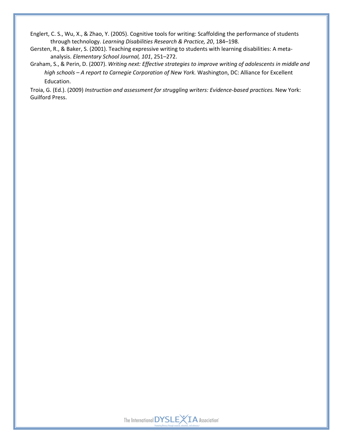Englert, C. S., Wu, X., & Zhao, Y. (2005). Cognitive tools for writing: Scaffolding the performance of students through technology. *Learning Disabilities Research & Practice, 20*, 184–198.

Gersten, R., & Baker, S. (2001). Teaching expressive writing to students with learning disabilities: A metaanalysis. *Elementary School Journal, 101*, 251–272.

Graham, S., & Perin, D. (2007). *Writing next: Effective strategies to improve writing of adolescents in middle and high schools – A report to Carnegie Corporation of New York.* Washington, DC: Alliance for Excellent Education.

Troia, G. (Ed.). (2009) *Instruction and assessment for struggling writers: Evidence-based practices.* New York: Guilford Press.

The International DYSLEXIA Association<sup>®</sup>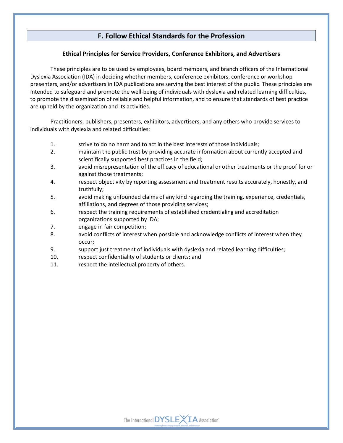## **F. Follow Ethical Standards for the Profession**

#### **Ethical Principles for Service Providers, Conference Exhibitors, and Advertisers**

These principles are to be used by employees, board members, and branch officers of the International Dyslexia Association (IDA) in deciding whether members, conference exhibitors, conference or workshop presenters, and/or advertisers in IDA publications are serving the best interest of the public. These principles are intended to safeguard and promote the well-being of individuals with dyslexia and related learning difficulties, to promote the dissemination of reliable and helpful information, and to ensure that standards of best practice are upheld by the organization and its activities.

Practitioners, publishers, presenters, exhibitors, advertisers, and any others who provide services to individuals with dyslexia and related difficulties:

- 1. strive to do no harm and to act in the best interests of those individuals;
- 2. maintain the public trust by providing accurate information about currently accepted and scientifically supported best practices in the field;
- 3. avoid misrepresentation of the efficacy of educational or other treatments or the proof for or against those treatments;
- 4. respect objectivity by reporting assessment and treatment results accurately, honestly, and truthfully;
- 5. avoid making unfounded claims of any kind regarding the training, experience, credentials, affiliations, and degrees of those providing services;
- 6. Festion the training requirements of established credentialing and accreditation organizations supported by IDA;
- 7. engage in fair competition;
- 8. avoid conflicts of interest when possible and acknowledge conflicts of interest when they occur;
- 9. support just treatment of individuals with dyslexia and related learning difficulties;
- 10. respect confidentiality of students or clients; and
- 11. respect the intellectual property of others.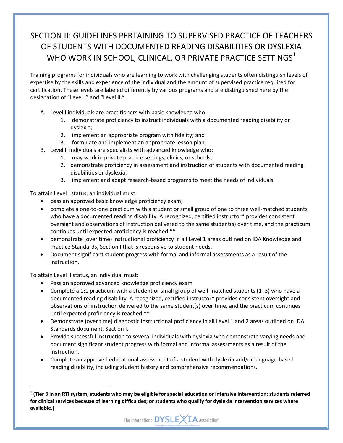## SECTION II: GUIDELINES PERTAINING TO SUPERVISED PRACTICE OF TEACHERS OF STUDENTS WITH DOCUMENTED READING DISABILITIES OR DYSLEXIA WHO WORK IN SCHOOL, CLINICAL, OR PRIVATE PRACTICE SETTINGS**<sup>1</sup>**

Training programs for individuals who are learning to work with challenging students often distinguish levels of expertise by the skills and experience of the individual and the amount of supervised practice required for certification. These levels are labeled differently by various programs and are distinguished here by the designation of "Level I" and "Level II."

- A. Level I individuals are practitioners with basic knowledge who:
	- 1. demonstrate proficiency to instruct individuals with a documented reading disability or dyslexia;
	- 2. implement an appropriate program with fidelity; and
	- 3. formulate and implement an appropriate lesson plan.
- B. Level II individuals are specialists with advanced knowledge who:
	- 1. may work in private practice settings, clinics, or schools;
	- 2. demonstrate proficiency in assessment and instruction of students with documented reading disabilities or dyslexia;
	- 3. implement and adapt research-based programs to meet the needs of individuals.

To attain Level I status, an individual must:

- pass an approved basic knowledge proficiency exam;
- complete a one-to-one practicum with a student or small group of one to three well-matched students who have a documented reading disability. A recognized, certified instructor\* provides consistent oversight and observations of instruction delivered to the same student(s) over time, and the practicum continues until expected proficiency is reached.\*\*
- demonstrate (over time) instructional proficiency in all Level 1 areas outlined on IDA Knowledge and Practice Standards, Section I that is responsive to student needs.
- Document significant student progress with formal and informal assessments as a result of the instruction.

To attain Level II status, an individual must:

 $\overline{a}$ 

- Pass an approved advanced knowledge proficiency exam
- Complete a 1:1 practicum with a student or small group of well-matched students (1–3) who have a documented reading disability. A recognized, certified instructor\* provides consistent oversight and observations of instruction delivered to the same student(s) over time, and the practicum continues until expected proficiency is reached.\*\*
- Demonstrate (over time) diagnostic instructional proficiency in all Level 1 and 2 areas outlined on IDA Standards document, Section I.
- Provide successful instruction to several individuals with dyslexia who demonstrate varying needs and document significant student progress with formal and informal assessments as a result of the instruction.
- Complete an approved educational assessment of a student with dyslexia and/or language-based reading disability, including student history and comprehensive recommendations.

<sup>1</sup> **(Tier 3 in an RTI system; students who may be eligible for special education or intensive intervention; students referred for clinical services because of learning difficulties; or students who qualify for dyslexia intervention services where available.)**